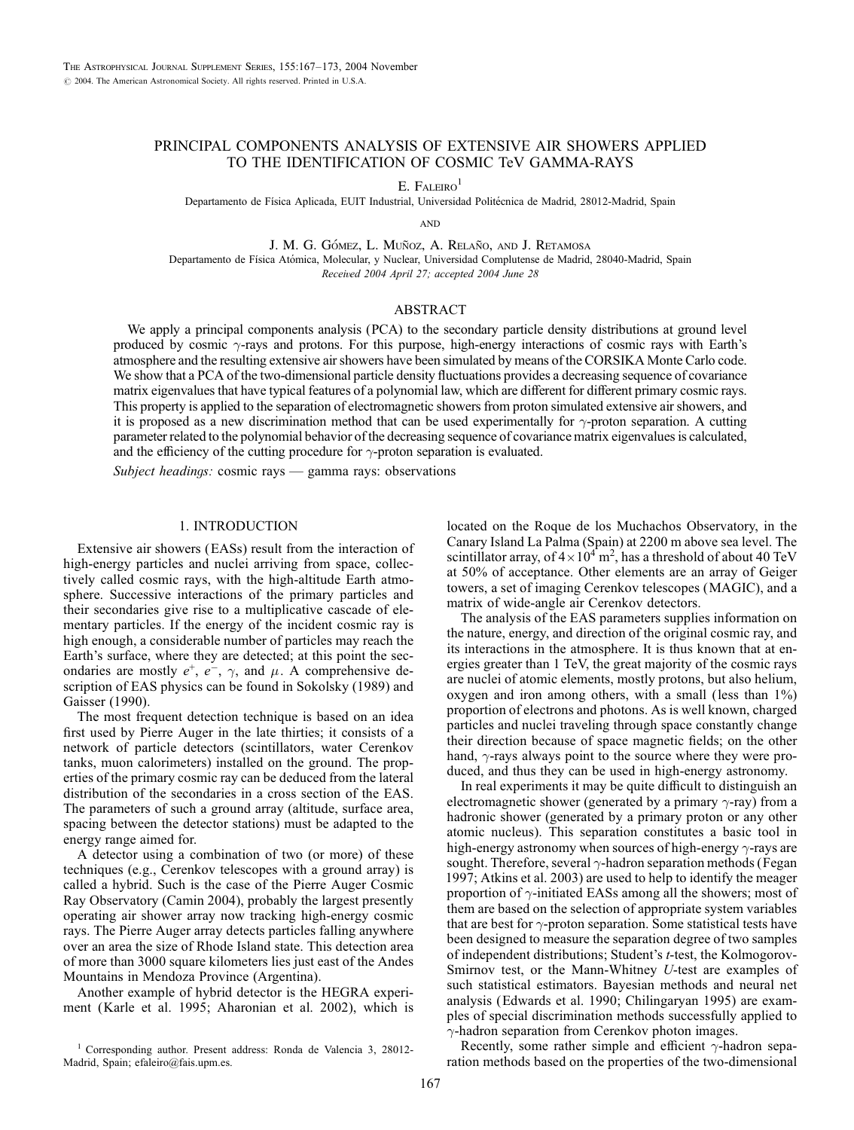# PRINCIPAL COMPONENTS ANALYSIS OF EXTENSIVE AIR SHOWERS APPLIED TO THE IDENTIFICATION OF COSMIC TeV GAMMA-RAYS

E. FALEIRO<sup>1</sup>

Departamento de Física Aplicada, EUIT Industrial, Universidad Politécnica de Madrid, 28012-Madrid, Spain

**AND** 

J. M. G. GÓMEZ, L. MUÑOZ, A. RELAÑO, AND J. RETAMOSA

Departamento de Física Atómica, Molecular, y Nuclear, Universidad Complutense de Madrid, 28040-Madrid, Spain Received 2004 April 27; accepted 2004 June 28

#### ABSTRACT

We apply a principal components analysis (PCA) to the secondary particle density distributions at ground level produced by cosmic  $\gamma$ -rays and protons. For this purpose, high-energy interactions of cosmic rays with Earth's atmosphere and the resulting extensive air showers have been simulated by means of the CORSIKA Monte Carlo code. We show that a PCA of the two-dimensional particle density fluctuations provides a decreasing sequence of covariance matrix eigenvalues that have typical features of a polynomial law, which are different for different primary cosmic rays. This property is applied to the separation of electromagnetic showers from proton simulated extensive air showers, and it is proposed as a new discrimination method that can be used experimentally for  $\gamma$ -proton separation. A cutting parameter related to the polynomial behavior of the decreasing sequence of covariance matrix eigenvalues is calculated, and the efficiency of the cutting procedure for  $\gamma$ -proton separation is evaluated.

Subject headings: cosmic rays — gamma rays: observations

## 1. INTRODUCTION

Extensive air showers (EASs) result from the interaction of high-energy particles and nuclei arriving from space, collectively called cosmic rays, with the high-altitude Earth atmosphere. Successive interactions of the primary particles and their secondaries give rise to a multiplicative cascade of elementary particles. If the energy of the incident cosmic ray is high enough, a considerable number of particles may reach the Earth's surface, where they are detected; at this point the secondaries are mostly  $e^+$ ,  $e^-$ ,  $\gamma$ , and  $\mu$ . A comprehensive description of EAS physics can be found in Sokolsky (1989) and Gaisser (1990).

The most frequent detection technique is based on an idea first used by Pierre Auger in the late thirties; it consists of a network of particle detectors (scintillators, water Cerenkov tanks, muon calorimeters) installed on the ground. The properties of the primary cosmic ray can be deduced from the lateral distribution of the secondaries in a cross section of the EAS. The parameters of such a ground array (altitude, surface area, spacing between the detector stations) must be adapted to the energy range aimed for.

A detector using a combination of two (or more) of these techniques (e.g., Cerenkov telescopes with a ground array) is called a hybrid. Such is the case of the Pierre Auger Cosmic Ray Observatory (Camin 2004), probably the largest presently operating air shower array now tracking high-energy cosmic rays. The Pierre Auger array detects particles falling anywhere over an area the size of Rhode Island state. This detection area of more than 3000 square kilometers lies just east of the Andes Mountains in Mendoza Province (Argentina).

Another example of hybrid detector is the HEGRA experiment (Karle et al. 1995; Aharonian et al. 2002), which is located on the Roque de los Muchachos Observatory, in the Canary Island La Palma (Spain) at 2200 m above sea level. The scintillator array, of  $4 \times 10^4$  m<sup>2</sup>, has a threshold of about 40 TeV at 50% of acceptance. Other elements are an array of Geiger towers, a set of imaging Cerenkov telescopes (MAGIC), and a matrix of wide-angle air Cerenkov detectors.

The analysis of the EAS parameters supplies information on the nature, energy, and direction of the original cosmic ray, and its interactions in the atmosphere. It is thus known that at energies greater than 1 TeV, the great majority of the cosmic rays are nuclei of atomic elements, mostly protons, but also helium, oxygen and iron among others, with a small (less than 1%) proportion of electrons and photons. As is well known, charged particles and nuclei traveling through space constantly change their direction because of space magnetic fields; on the other hand,  $\gamma$ -rays always point to the source where they were produced, and thus they can be used in high-energy astronomy.

In real experiments it may be quite difficult to distinguish an electromagnetic shower (generated by a primary  $\gamma$ -ray) from a hadronic shower (generated by a primary proton or any other atomic nucleus). This separation constitutes a basic tool in high-energy astronomy when sources of high-energy  $\gamma$ -rays are sought. Therefore, several  $\gamma$ -hadron separation methods (Fegan 1997; Atkins et al. 2003) are used to help to identify the meager proportion of  $\gamma$ -initiated EASs among all the showers; most of them are based on the selection of appropriate system variables that are best for  $\gamma$ -proton separation. Some statistical tests have been designed to measure the separation degree of two samples of independent distributions; Student's t-test, the Kolmogorov-Smirnov test, or the Mann-Whitney U-test are examples of such statistical estimators. Bayesian methods and neural net analysis (Edwards et al. 1990; Chilingaryan 1995) are examples of special discrimination methods successfully applied to  $\gamma$ -hadron separation from Cerenkov photon images.

Recently, some rather simple and efficient  $\gamma$ -hadron separation methods based on the properties of the two-dimensional

<sup>1</sup> Corresponding author. Present address: Ronda de Valencia 3, 28012- Madrid, Spain; efaleiro@fais.upm.es.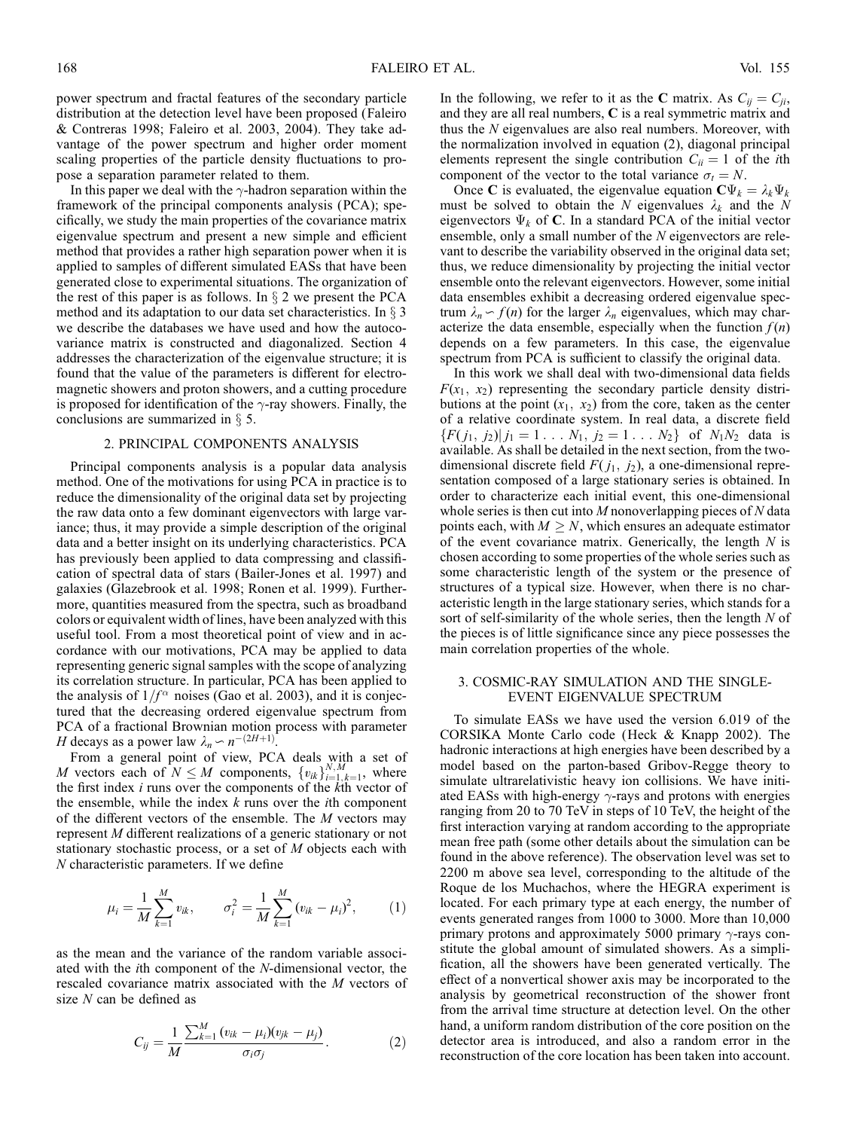power spectrum and fractal features of the secondary particle distribution at the detection level have been proposed (Faleiro & Contreras 1998; Faleiro et al. 2003, 2004). They take advantage of the power spectrum and higher order moment scaling properties of the particle density fluctuations to propose a separation parameter related to them.

In this paper we deal with the  $\gamma$ -hadron separation within the framework of the principal components analysis (PCA); specifically, we study the main properties of the covariance matrix eigenvalue spectrum and present a new simple and efficient method that provides a rather high separation power when it is applied to samples of different simulated EASs that have been generated close to experimental situations. The organization of the rest of this paper is as follows. In  $\S$  2 we present the PCA method and its adaptation to our data set characteristics. In  $\S$  3 we describe the databases we have used and how the autocovariance matrix is constructed and diagonalized. Section 4 addresses the characterization of the eigenvalue structure; it is found that the value of the parameters is different for electromagnetic showers and proton showers, and a cutting procedure is proposed for identification of the  $\gamma$ -ray showers. Finally, the conclusions are summarized in  $\S$  5.

#### 2. PRINCIPAL COMPONENTS ANALYSIS

Principal components analysis is a popular data analysis method. One of the motivations for using PCA in practice is to reduce the dimensionality of the original data set by projecting the raw data onto a few dominant eigenvectors with large variance; thus, it may provide a simple description of the original data and a better insight on its underlying characteristics. PCA has previously been applied to data compressing and classification of spectral data of stars (Bailer-Jones et al. 1997) and galaxies (Glazebrook et al. 1998; Ronen et al. 1999). Furthermore, quantities measured from the spectra, such as broadband colors or equivalent width of lines, have been analyzed with this useful tool. From a most theoretical point of view and in accordance with our motivations, PCA may be applied to data representing generic signal samples with the scope of analyzing its correlation structure. In particular, PCA has been applied to the analysis of  $1/f^{\alpha}$  noises (Gao et al. 2003), and it is conjectured that the decreasing ordered eigenvalue spectrum from PCA of a fractional Brownian motion process with parameter *H* decays as a power law  $\lambda_n \sim n^{-(2H+1)}$ .

From a general point of view, PCA deals with a set of M vectors each of  $N \leq M$  components,  $\{v_{ik}\}_{i=1,k=1}^{N,M}$ , where the first index  $i$  runs over the components of the  $k$ <sup>th</sup> vector of the ensemble, while the index  $k$  runs over the *i*th component of the different vectors of the ensemble. The  $M$  vectors may represent M different realizations of a generic stationary or not stationary stochastic process, or a set of M objects each with N characteristic parameters. If we define

$$
\mu_i = \frac{1}{M} \sum_{k=1}^{M} v_{ik}, \qquad \sigma_i^2 = \frac{1}{M} \sum_{k=1}^{M} (v_{ik} - \mu_i)^2, \qquad (1)
$$

as the mean and the variance of the random variable associated with the ith component of the N-dimensional vector, the rescaled covariance matrix associated with the M vectors of size N can be defined as

$$
C_{ij} = \frac{1}{M} \frac{\sum_{k=1}^{M} (v_{ik} - \mu_i)(v_{jk} - \mu_j)}{\sigma_i \sigma_j}.
$$
 (2)

In the following, we refer to it as the C matrix. As  $C_{ij} = C_{ji}$ , and they are all real numbers, C is a real symmetric matrix and thus the N eigenvalues are also real numbers. Moreover, with the normalization involved in equation (2), diagonal principal elements represent the single contribution  $C_{ii} = 1$  of the *i*th component of the vector to the total variance  $\sigma_t = N$ .

Once C is evaluated, the eigenvalue equation  $C\Psi_k = \lambda_k \Psi_k$ must be solved to obtain the N eigenvalues  $\lambda_k$  and the N eigenvectors  $\Psi_k$  of C. In a standard PCA of the initial vector ensemble, only a small number of the N eigenvectors are relevant to describe the variability observed in the original data set; thus, we reduce dimensionality by projecting the initial vector ensemble onto the relevant eigenvectors. However, some initial data ensembles exhibit a decreasing ordered eigenvalue spectrum  $\lambda_n \sim f(n)$  for the larger  $\lambda_n$  eigenvalues, which may characterize the data ensemble, especially when the function  $f(n)$ depends on a few parameters. In this case, the eigenvalue spectrum from PCA is sufficient to classify the original data.

In this work we shall deal with two-dimensional data fields  $F(x_1, x_2)$  representing the secondary particle density distributions at the point  $(x_1, x_2)$  from the core, taken as the center of a relative coordinate system. In real data, a discrete field  $\{F(j_1, j_2)|j_1 = 1 \ldots N_1, j_2 = 1 \ldots N_2\}$  of  $N_1N_2$  data is available. As shall be detailed in the next section, from the twodimensional discrete field  $F(j_1, j_2)$ , a one-dimensional representation composed of a large stationary series is obtained. In order to characterize each initial event, this one-dimensional whole series is then cut into  $M$  nonoverlapping pieces of  $N$  data points each, with  $M \geq N$ , which ensures an adequate estimator of the event covariance matrix. Generically, the length  $N$  is chosen according to some properties of the whole series such as some characteristic length of the system or the presence of structures of a typical size. However, when there is no characteristic length in the large stationary series, which stands for a sort of self-similarity of the whole series, then the length N of the pieces is of little significance since any piece possesses the main correlation properties of the whole.

## 3. COSMIC-RAY SIMULATION AND THE SINGLE-EVENT EIGENVALUE SPECTRUM

To simulate EASs we have used the version 6.019 of the CORSIKA Monte Carlo code (Heck & Knapp 2002). The hadronic interactions at high energies have been described by a model based on the parton-based Gribov-Regge theory to simulate ultrarelativistic heavy ion collisions. We have initiated EASs with high-energy  $\gamma$ -rays and protons with energies ranging from 20 to 70 TeV in steps of 10 TeV, the height of the first interaction varying at random according to the appropriate mean free path (some other details about the simulation can be found in the above reference). The observation level was set to 2200 m above sea level, corresponding to the altitude of the Roque de los Muchachos, where the HEGRA experiment is located. For each primary type at each energy, the number of events generated ranges from 1000 to 3000. More than 10,000 primary protons and approximately 5000 primary  $\gamma$ -rays constitute the global amount of simulated showers. As a simplification, all the showers have been generated vertically. The effect of a nonvertical shower axis may be incorporated to the analysis by geometrical reconstruction of the shower front from the arrival time structure at detection level. On the other hand, a uniform random distribution of the core position on the detector area is introduced, and also a random error in the reconstruction of the core location has been taken into account.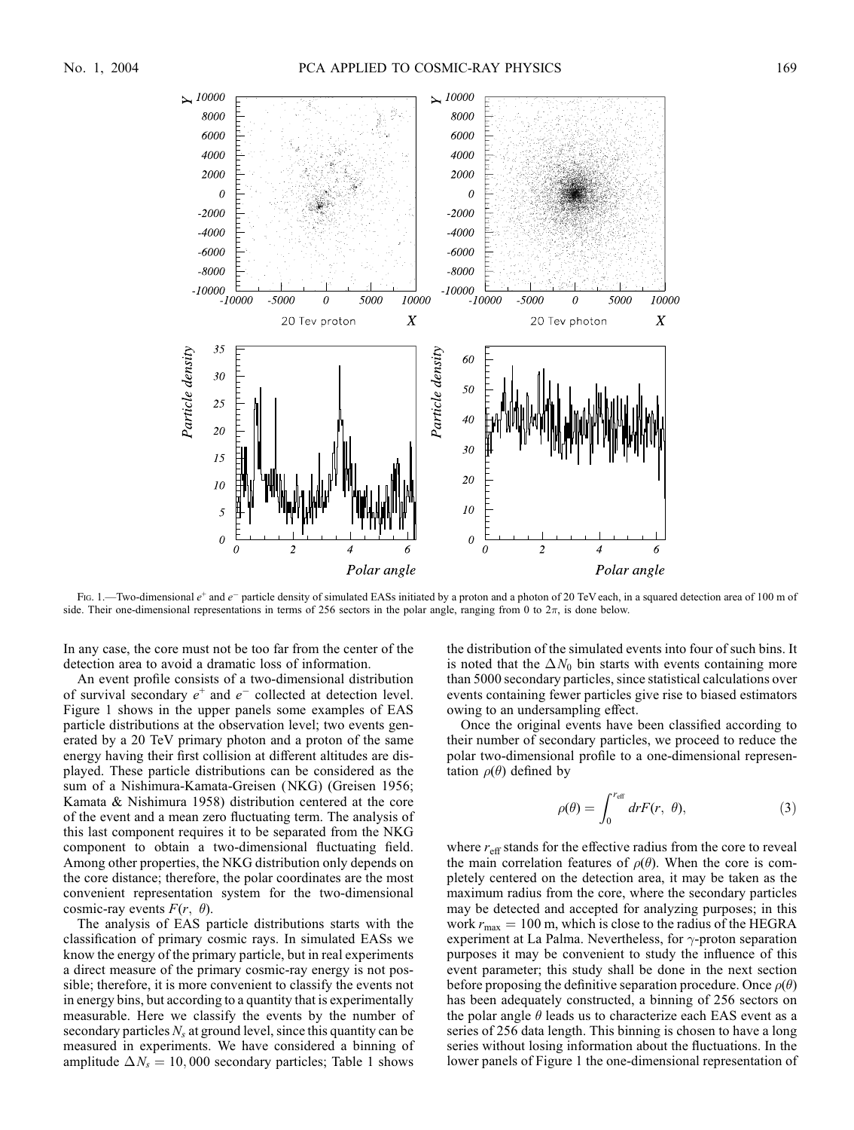

Fig. 1.—Two-dimensional  $e^+$  and  $e^-$  particle density of simulated EASs initiated by a proton and a photon of 20 TeV each, in a squared detection area of 100 m of side. Their one-dimensional representations in terms of 256 sectors in the polar angle, ranging from 0 to  $2\pi$ , is done below.

In any case, the core must not be too far from the center of the detection area to avoid a dramatic loss of information.

An event profile consists of a two-dimensional distribution of survival secondary  $e^+$  and  $e^-$  collected at detection level. Figure 1 shows in the upper panels some examples of EAS particle distributions at the observation level; two events generated by a 20 TeV primary photon and a proton of the same energy having their first collision at different altitudes are displayed. These particle distributions can be considered as the sum of a Nishimura-Kamata-Greisen (NKG) (Greisen 1956; Kamata & Nishimura 1958) distribution centered at the core of the event and a mean zero fluctuating term. The analysis of this last component requires it to be separated from the NKG component to obtain a two-dimensional fluctuating field. Among other properties, the NKG distribution only depends on the core distance; therefore, the polar coordinates are the most convenient representation system for the two-dimensional cosmic-ray events  $F(r, \theta)$ .

The analysis of EAS particle distributions starts with the classification of primary cosmic rays. In simulated EASs we know the energy of the primary particle, but in real experiments a direct measure of the primary cosmic-ray energy is not possible; therefore, it is more convenient to classify the events not in energy bins, but according to a quantity that is experimentally measurable. Here we classify the events by the number of secondary particles  $N_s$  at ground level, since this quantity can be measured in experiments. We have considered a binning of amplitude  $\Delta N_s = 10,000$  secondary particles; Table 1 shows

the distribution of the simulated events into four of such bins. It is noted that the  $\Delta N_0$  bin starts with events containing more than 5000 secondary particles, since statistical calculations over events containing fewer particles give rise to biased estimators owing to an undersampling effect.

Once the original events have been classified according to their number of secondary particles, we proceed to reduce the polar two-dimensional profile to a one-dimensional representation  $\rho(\theta)$  defined by

$$
\rho(\theta) = \int_0^{r_{\text{eff}}} dr F(r, \ \theta), \tag{3}
$$

where  $r_{\text{eff}}$  stands for the effective radius from the core to reveal the main correlation features of  $\rho(\theta)$ . When the core is completely centered on the detection area, it may be taken as the maximum radius from the core, where the secondary particles may be detected and accepted for analyzing purposes; in this work  $r_{\text{max}} = 100 \text{ m}$ , which is close to the radius of the HEGRA experiment at La Palma. Nevertheless, for  $\gamma$ -proton separation purposes it may be convenient to study the influence of this event parameter; this study shall be done in the next section before proposing the definitive separation procedure. Once  $\rho(\theta)$ has been adequately constructed, a binning of 256 sectors on the polar angle  $\theta$  leads us to characterize each EAS event as a series of 256 data length. This binning is chosen to have a long series without losing information about the fluctuations. In the lower panels of Figure 1 the one-dimensional representation of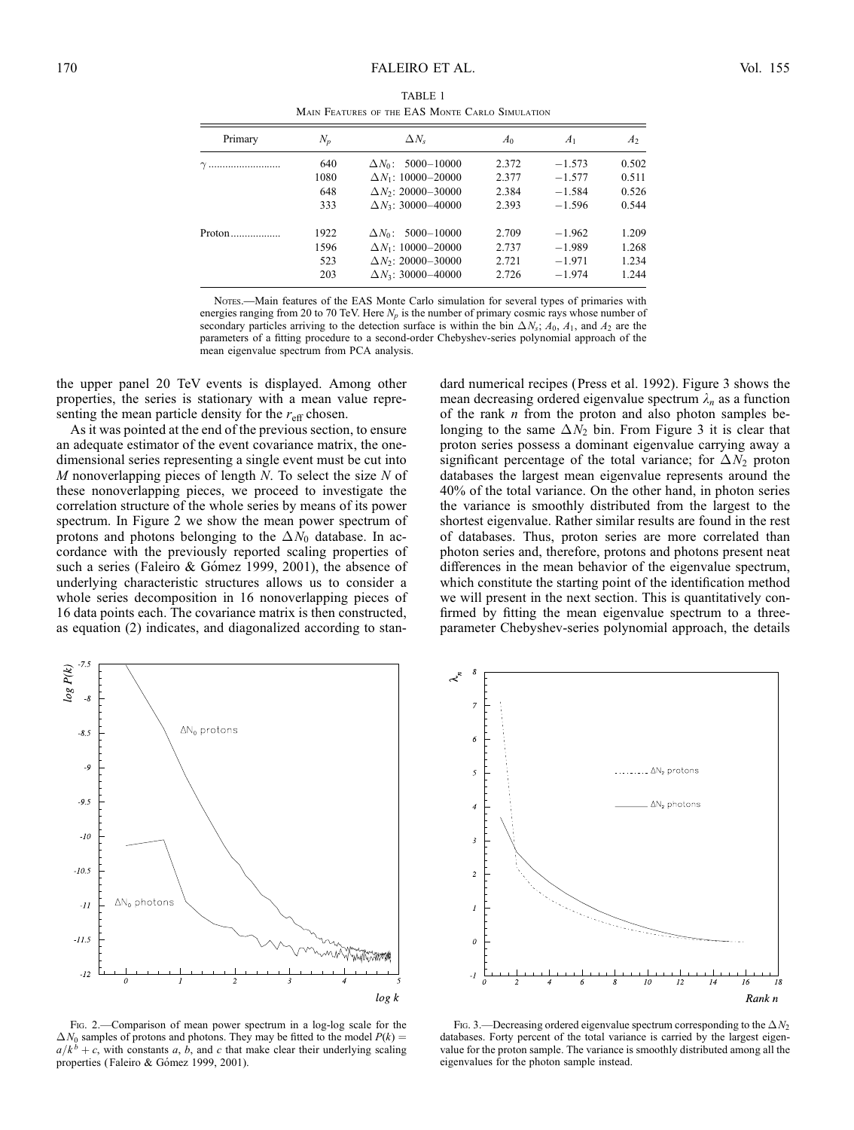| Primary  | $\Delta N_{s}$<br>$N_p$ |                            | A0    | A <sub>1</sub> | A <sub>2</sub> |
|----------|-------------------------|----------------------------|-------|----------------|----------------|
| $\gamma$ | 640                     | $\Delta N_0$ : 5000-10000  | 2.372 | $-1.573$       | 0.502          |
|          | 1080                    | $\Delta N_1$ : 10000-20000 | 2.377 | $-1.577$       | 0.511          |
|          | 648                     | $\Delta N_2$ : 20000-30000 | 2.384 | $-1.584$       | 0.526          |
|          | 333                     | $\Delta N_3$ : 30000-40000 | 2.393 | $-1.596$       | 0.544          |
|          | 1922                    | $\Delta N_0$ : 5000-10000  | 2.709 | $-1.962$       | 1.209          |
|          | 1596                    | $\Delta N_1$ : 10000-20000 | 2.737 | $-1.989$       | 1.268          |
|          | 523                     | $\Delta N_2$ : 20000-30000 | 2.721 | $-1.971$       | 1.234          |
|          | 203                     | $\Delta N_3$ : 30000-40000 | 2.726 | $-1.974$       | 1.244          |

TABLE 1 Main Features of the EAS Monte Carlo Simulation

Nores.—Main features of the EAS Monte Carlo simulation for several types of primaries with energies ranging from 20 to 70 TeV. Here  $N_p$  is the number of primary cosmic rays whose number of secondary particles arriving to the detection surface is within the bin  $\Delta N_s$ ;  $A_0$ ,  $A_1$ , and  $A_2$  are the parameters of a fitting procedure to a second-order Chebyshev-series polynomial approach of the mean eigenvalue spectrum from PCA analysis.

the upper panel 20 TeV events is displayed. Among other properties, the series is stationary with a mean value representing the mean particle density for the  $r_{\text{eff}}$  chosen.

As it was pointed at the end of the previous section, to ensure an adequate estimator of the event covariance matrix, the onedimensional series representing a single event must be cut into  $M$  nonoverlapping pieces of length  $N$ . To select the size  $N$  of these nonoverlapping pieces, we proceed to investigate the correlation structure of the whole series by means of its power spectrum. In Figure 2 we show the mean power spectrum of protons and photons belonging to the  $\Delta N_0$  database. In accordance with the previously reported scaling properties of such a series (Faleiro  $& G$ ómez 1999, 2001), the absence of underlying characteristic structures allows us to consider a whole series decomposition in 16 nonoverlapping pieces of 16 data points each. The covariance matrix is then constructed, as equation (2) indicates, and diagonalized according to standard numerical recipes (Press et al. 1992). Figure 3 shows the mean decreasing ordered eigenvalue spectrum  $\lambda_n$  as a function of the rank  $n$  from the proton and also photon samples belonging to the same  $\Delta N_2$  bin. From Figure 3 it is clear that proton series possess a dominant eigenvalue carrying away a significant percentage of the total variance; for  $\Delta N_2$  proton databases the largest mean eigenvalue represents around the 40% of the total variance. On the other hand, in photon series the variance is smoothly distributed from the largest to the shortest eigenvalue. Rather similar results are found in the rest of databases. Thus, proton series are more correlated than photon series and, therefore, protons and photons present neat differences in the mean behavior of the eigenvalue spectrum, which constitute the starting point of the identification method we will present in the next section. This is quantitatively confirmed by fitting the mean eigenvalue spectrum to a threeparameter Chebyshev-series polynomial approach, the details



FIG. 2.—Comparison of mean power spectrum in a log-log scale for the  $\Delta N_0$  samples of protons and photons. They may be fitted to the model  $P(k)$  =  $a/k^b + c$ , with constants a, b, and c that make clear their underlying scaling properties (Faleiro & Gómez 1999, 2001).



Fig. 3.—Decreasing ordered eigenvalue spectrum corresponding to the  $\Delta N_2$ databases. Forty percent of the total variance is carried by the largest eigenvalue for the proton sample. The variance is smoothly distributed among all the eigenvalues for the photon sample instead.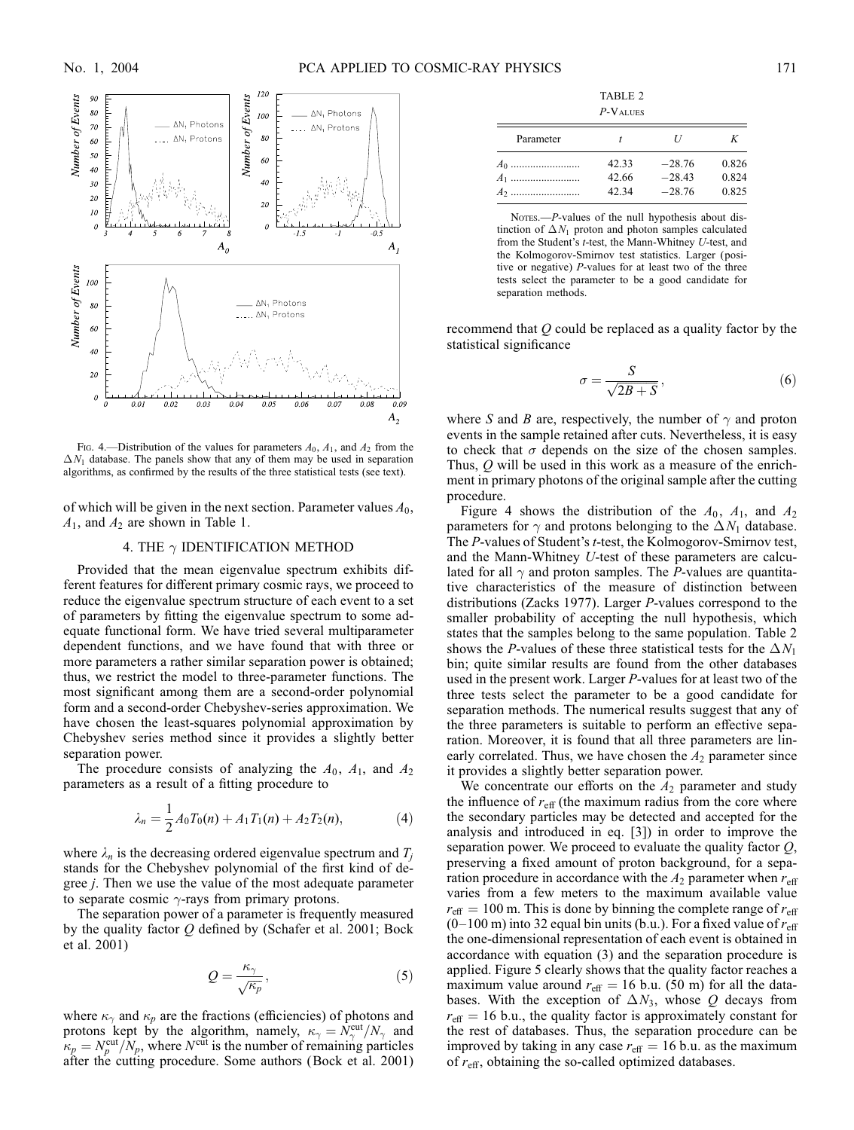

Fig. 4.—Distribution of the values for parameters  $A_0$ ,  $A_1$ , and  $A_2$  from the  $\Delta N_1$  database. The panels show that any of them may be used in separation algorithms, as confirmed by the results of the three statistical tests (see text).

of which will be given in the next section. Parameter values  $A_0$ ,  $A_1$ , and  $A_2$  are shown in Table 1.

#### 4. THE  $\gamma$  IDENTIFICATION METHOD

Provided that the mean eigenvalue spectrum exhibits different features for different primary cosmic rays, we proceed to reduce the eigenvalue spectrum structure of each event to a set of parameters by fitting the eigenvalue spectrum to some adequate functional form. We have tried several multiparameter dependent functions, and we have found that with three or more parameters a rather similar separation power is obtained; thus, we restrict the model to three-parameter functions. The most significant among them are a second-order polynomial form and a second-order Chebyshev-series approximation. We have chosen the least-squares polynomial approximation by Chebyshev series method since it provides a slightly better separation power.

The procedure consists of analyzing the  $A_0$ ,  $A_1$ , and  $A_2$ parameters as a result of a fitting procedure to

$$
\lambda_n = \frac{1}{2} A_0 T_0(n) + A_1 T_1(n) + A_2 T_2(n), \tag{4}
$$

where  $\lambda_n$  is the decreasing ordered eigenvalue spectrum and  $T_i$ stands for the Chebyshev polynomial of the first kind of degree j. Then we use the value of the most adequate parameter to separate cosmic  $\gamma$ -rays from primary protons.

The separation power of a parameter is frequently measured by the quality factor  $Q$  defined by (Schafer et al. 2001; Bock et al. 2001)

$$
Q = \frac{\kappa_{\gamma}}{\sqrt{\kappa_{p}}},\tag{5}
$$

where  $\kappa_{\gamma}$  and  $\kappa_{p}$  are the fractions (efficiencies) of photons and protons kept by the algorithm, namely,  $\kappa_{\gamma} = N_{\gamma}^{\text{cut}}/N_{\gamma}$  and  $\kappa_p = N_p^{\text{cut}}/N_p$ , where  $N^{\text{cut}}$  is the number of remaining particles after the cutting procedure. Some authors (Bock et al. 2001)

| TABLE 2<br>$P-V$ ALUES  |                         |                                  |                         |  |  |  |
|-------------------------|-------------------------|----------------------------------|-------------------------|--|--|--|
| Parameter               |                         | H                                | K                       |  |  |  |
| $A_0$<br>$A_1$<br>$A_2$ | 42.33<br>42.66<br>42.34 | $-28.76$<br>$-28.43$<br>$-28.76$ | 0.826<br>0.824<br>0.825 |  |  |  |

Notes.— $P$ -values of the null hypothesis about distinction of  $\Delta N_1$  proton and photon samples calculated from the Student's t-test, the Mann-Whitney U-test, and the Kolmogorov-Smirnov test statistics. Larger (positive or negative) P-values for at least two of the three tests select the parameter to be a good candidate for separation methods.

recommend that  $Q$  could be replaced as a quality factor by the statistical significance

$$
\sigma = \frac{S}{\sqrt{2B + S}},\tag{6}
$$

where S and B are, respectively, the number of  $\gamma$  and proton events in the sample retained after cuts. Nevertheless, it is easy to check that  $\sigma$  depends on the size of the chosen samples. Thus,  $Q$  will be used in this work as a measure of the enrichment in primary photons of the original sample after the cutting procedure.

Figure 4 shows the distribution of the  $A_0$ ,  $A_1$ , and  $A_2$ parameters for  $\gamma$  and protons belonging to the  $\Delta N_1$  database. The P-values of Student's t-test, the Kolmogorov-Smirnov test, and the Mann-Whitney U-test of these parameters are calculated for all  $\gamma$  and proton samples. The *P*-values are quantitative characteristics of the measure of distinction between distributions (Zacks 1977). Larger P-values correspond to the smaller probability of accepting the null hypothesis, which states that the samples belong to the same population. Table 2 shows the *P*-values of these three statistical tests for the  $\Delta N_1$ bin; quite similar results are found from the other databases used in the present work. Larger P-values for at least two of the three tests select the parameter to be a good candidate for separation methods. The numerical results suggest that any of the three parameters is suitable to perform an effective separation. Moreover, it is found that all three parameters are linearly correlated. Thus, we have chosen the  $A_2$  parameter since it provides a slightly better separation power.

We concentrate our efforts on the  $A_2$  parameter and study the influence of  $r_{\text{eff}}$  (the maximum radius from the core where the secondary particles may be detected and accepted for the analysis and introduced in eq. [3]) in order to improve the separation power. We proceed to evaluate the quality factor Q, preserving a fixed amount of proton background, for a separation procedure in accordance with the  $A_2$  parameter when  $r_{\text{eff}}$ varies from a few meters to the maximum available value  $r_{\text{eff}} = 100$  m. This is done by binning the complete range of  $r_{\text{eff}}$  $(0-100 \text{ m})$  into 32 equal bin units (b.u.). For a fixed value of  $r_{\text{eff}}$ the one-dimensional representation of each event is obtained in accordance with equation (3) and the separation procedure is applied. Figure 5 clearly shows that the quality factor reaches a maximum value around  $r_{\text{eff}} = 16$  b.u. (50 m) for all the databases. With the exception of  $\Delta N_3$ , whose Q decays from  $r_{\text{eff}} = 16$  b.u., the quality factor is approximately constant for the rest of databases. Thus, the separation procedure can be improved by taking in any case  $r_{\text{eff}} = 16$  b.u. as the maximum of  $r_{\text{eff}}$ , obtaining the so-called optimized databases.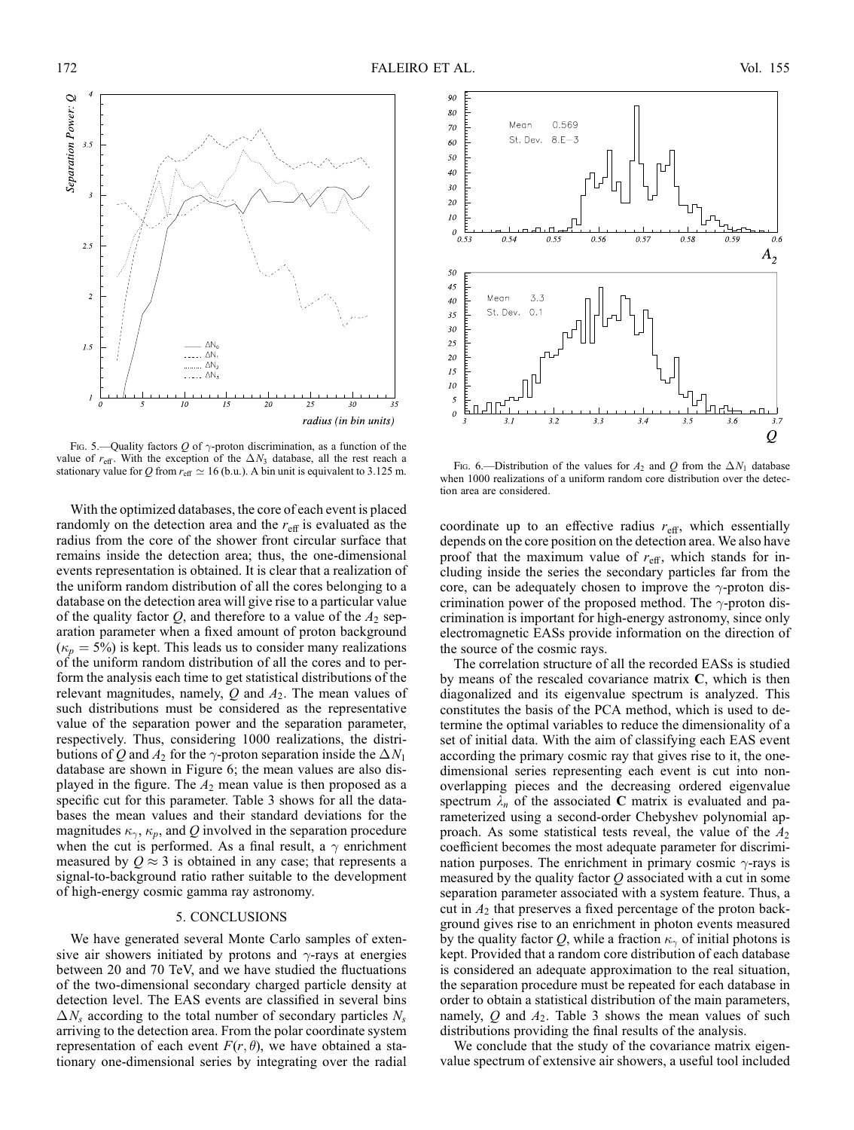

Fig. 5.—Quality factors Q of  $\gamma$ -proton discrimination, as a function of the value of  $r_{\text{eff}}$ . With the exception of the  $\Delta N_3$  database, all the rest reach a stationary value for Q from  $r_{\text{eff}} \simeq 16$  (b.u.). A bin unit is equivalent to 3.125 m.

With the optimized databases, the core of each event is placed randomly on the detection area and the  $r_{\text{eff}}$  is evaluated as the radius from the core of the shower front circular surface that remains inside the detection area; thus, the one-dimensional events representation is obtained. It is clear that a realization of the uniform random distribution of all the cores belonging to a database on the detection area will give rise to a particular value of the quality factor Q, and therefore to a value of the  $A_2$  separation parameter when a fixed amount of proton background  $(\kappa_p = 5\%)$  is kept. This leads us to consider many realizations of the uniform random distribution of all the cores and to perform the analysis each time to get statistical distributions of the relevant magnitudes, namely,  $Q$  and  $A_2$ . The mean values of such distributions must be considered as the representative value of the separation power and the separation parameter, respectively. Thus, considering 1000 realizations, the distributions of Q and  $A_2$  for the  $\gamma$ -proton separation inside the  $\Delta N_1$ database are shown in Figure 6; the mean values are also displayed in the figure. The  $A_2$  mean value is then proposed as a specific cut for this parameter. Table 3 shows for all the databases the mean values and their standard deviations for the magnitudes  $\kappa_{\gamma}$ ,  $\kappa_{p}$ , and Q involved in the separation procedure when the cut is performed. As a final result, a  $\gamma$  enrichment measured by  $Q \approx 3$  is obtained in any case; that represents a signal-to-background ratio rather suitable to the development of high-energy cosmic gamma ray astronomy.

## 5. CONCLUSIONS

We have generated several Monte Carlo samples of extensive air showers initiated by protons and  $\gamma$ -rays at energies between 20 and 70 TeV, and we have studied the fluctuations of the two-dimensional secondary charged particle density at detection level. The EAS events are classified in several bins  $\Delta N_s$  according to the total number of secondary particles  $N_s$ arriving to the detection area. From the polar coordinate system representation of each event  $F(r, \theta)$ , we have obtained a stationary one-dimensional series by integrating over the radial



Fig. 6.—Distribution of the values for  $A_2$  and Q from the  $\Delta N_1$  database when 1000 realizations of a uniform random core distribution over the detection area are considered.

coordinate up to an effective radius  $r_{\text{eff}}$ , which essentially depends on the core position on the detection area. We also have proof that the maximum value of  $r_{\text{eff}}$ , which stands for including inside the series the secondary particles far from the core, can be adequately chosen to improve the  $\gamma$ -proton discrimination power of the proposed method. The  $\gamma$ -proton discrimination is important for high-energy astronomy, since only electromagnetic EASs provide information on the direction of the source of the cosmic rays.

The correlation structure of all the recorded EASs is studied by means of the rescaled covariance matrix C, which is then diagonalized and its eigenvalue spectrum is analyzed. This constitutes the basis of the PCA method, which is used to determine the optimal variables to reduce the dimensionality of a set of initial data. With the aim of classifying each EAS event according the primary cosmic ray that gives rise to it, the onedimensional series representing each event is cut into nonoverlapping pieces and the decreasing ordered eigenvalue spectrum  $\lambda_n$  of the associated C matrix is evaluated and parameterized using a second-order Chebyshev polynomial approach. As some statistical tests reveal, the value of the  $A_2$ coefficient becomes the most adequate parameter for discrimination purposes. The enrichment in primary cosmic  $\gamma$ -rays is measured by the quality factor  $Q$  associated with a cut in some separation parameter associated with a system feature. Thus, a cut in  $A_2$  that preserves a fixed percentage of the proton background gives rise to an enrichment in photon events measured by the quality factor Q, while a fraction  $\kappa_{\gamma}$  of initial photons is kept. Provided that a random core distribution of each database is considered an adequate approximation to the real situation, the separation procedure must be repeated for each database in order to obtain a statistical distribution of the main parameters, namely,  $Q$  and  $A_2$ . Table 3 shows the mean values of such distributions providing the final results of the analysis.

We conclude that the study of the covariance matrix eigenvalue spectrum of extensive air showers, a useful tool included